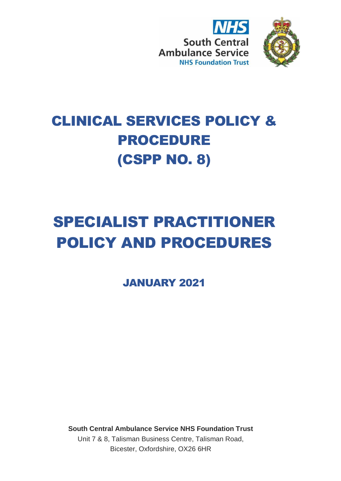



## CLINICAL SERVICES POLICY & PROCEDURE (CSPP NO. 8)

# SPECIALIST PRACTITIONER POLICY AND PROCEDURES

JANUARY 2021

**South Central Ambulance Service NHS Foundation Trust** Unit 7 & 8, Talisman Business Centre, Talisman Road, Bicester, Oxfordshire, OX26 6HR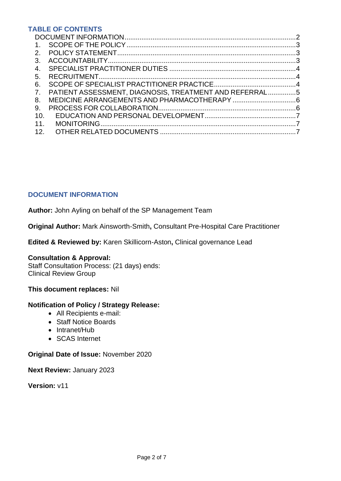## **TABLE OF CONTENTS**

| $\mathbf{1}$ . |                                                        |  |
|----------------|--------------------------------------------------------|--|
| 2 <sup>1</sup> |                                                        |  |
| 3.             |                                                        |  |
| 4.             |                                                        |  |
| 5.             |                                                        |  |
| 6.             |                                                        |  |
| 7.             | PATIENT ASSESSMENT, DIAGNOSIS, TREATMENT AND REFERRAL5 |  |
| 8.             |                                                        |  |
| 9.             |                                                        |  |
| 10.            |                                                        |  |
| 11.            |                                                        |  |
| 12.            |                                                        |  |

## <span id="page-1-0"></span>**DOCUMENT INFORMATION**

**Author:** John Ayling on behalf of the SP Management Team

**Original Author:** Mark Ainsworth-Smith**,** Consultant Pre-Hospital Care Practitioner

**Edited & Reviewed by:** Karen Skillicorn-Aston**,** Clinical governance Lead

#### **Consultation & Approval:**

Staff Consultation Process: (21 days) ends: Clinical Review Group

**This document replaces:** Nil

#### **Notification of Policy / Strategy Release:**

- All Recipients e-mail:
- Staff Notice Boards
- Intranet/Hub
- SCAS Internet

#### **Original Date of Issue:** November 2020

**Next Review:** January 2023

**Version:** v11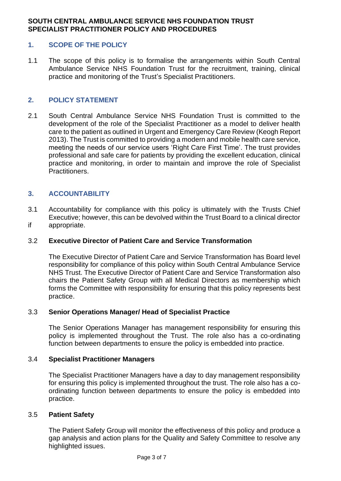## **SOUTH CENTRAL AMBULANCE SERVICE NHS FOUNDATION TRUST SPECIALIST PRACTITIONER POLICY AND PROCEDURES**

## <span id="page-2-0"></span>**1. SCOPE OF THE POLICY**

1.1 The scope of this policy is to formalise the arrangements within South Central Ambulance Service NHS Foundation Trust for the recruitment, training, clinical practice and monitoring of the Trust's Specialist Practitioners.

#### <span id="page-2-1"></span>**2. POLICY STATEMENT**

2.1 South Central Ambulance Service NHS Foundation Trust is committed to the development of the role of the Specialist Practitioner as a model to deliver health care to the patient as outlined in Urgent and Emergency Care Review (Keogh Report 2013). The Trust is committed to providing a modern and mobile health care service, meeting the needs of our service users 'Right Care First Time'. The trust provides professional and safe care for patients by providing the excellent education, clinical practice and monitoring, in order to maintain and improve the role of Specialist Practitioners.

## <span id="page-2-2"></span>**3. ACCOUNTABILITY**

3.1 Accountability for compliance with this policy is ultimately with the Trusts Chief Executive; however, this can be devolved within the Trust Board to a clinical director if appropriate.

#### 3.2 **Executive Director of Patient Care and Service Transformation**

The Executive Director of Patient Care and Service Transformation has Board level responsibility for compliance of this policy within South Central Ambulance Service NHS Trust. The Executive Director of Patient Care and Service Transformation also chairs the Patient Safety Group with all Medical Directors as membership which forms the Committee with responsibility for ensuring that this policy represents best practice.

#### 3.3 **Senior Operations Manager/ Head of Specialist Practice**

The Senior Operations Manager has management responsibility for ensuring this policy is implemented throughout the Trust. The role also has a co-ordinating function between departments to ensure the policy is embedded into practice.

#### 3.4 **Specialist Practitioner Managers**

The Specialist Practitioner Managers have a day to day management responsibility for ensuring this policy is implemented throughout the trust. The role also has a coordinating function between departments to ensure the policy is embedded into practice.

#### 3.5 **Patient Safety**

The Patient Safety Group will monitor the effectiveness of this policy and produce a gap analysis and action plans for the Quality and Safety Committee to resolve any highlighted issues.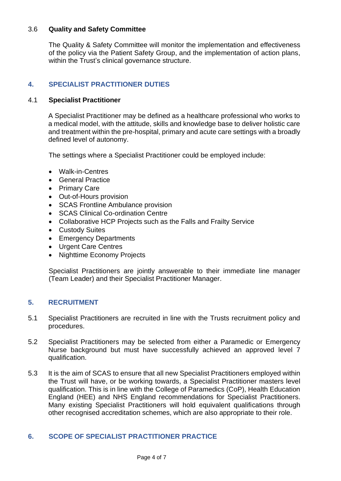## 3.6 **Quality and Safety Committee**

The Quality & Safety Committee will monitor the implementation and effectiveness of the policy via the Patient Safety Group, and the implementation of action plans, within the Trust's clinical governance structure.

## <span id="page-3-0"></span>**4. SPECIALIST PRACTITIONER DUTIES**

## 4.1 **Specialist Practitioner**

A Specialist Practitioner may be defined as a healthcare professional who works to a medical model, with the attitude, skills and knowledge base to deliver holistic care and treatment within the pre-hospital, primary and acute care settings with a broadly defined level of autonomy.

The settings where a Specialist Practitioner could be employed include:

- Walk-in-Centres
- General Practice
- Primary Care
- Out-of-Hours provision
- SCAS Frontline Ambulance provision
- SCAS Clinical Co-ordination Centre
- Collaborative HCP Projects such as the Falls and Frailty Service
- Custody Suites
- Emergency Departments
- Urgent Care Centres
- Nighttime Economy Projects

Specialist Practitioners are jointly answerable to their immediate line manager (Team Leader) and their Specialist Practitioner Manager.

## <span id="page-3-1"></span>**5. RECRUITMENT**

- 5.1 Specialist Practitioners are recruited in line with the Trusts recruitment policy and procedures.
- 5.2 Specialist Practitioners may be selected from either a Paramedic or Emergency Nurse background but must have successfully achieved an approved level 7 qualification.
- 5.3 It is the aim of SCAS to ensure that all new Specialist Practitioners employed within the Trust will have, or be working towards, a Specialist Practitioner masters level qualification. This is in line with the College of Paramedics (CoP), Health Education England (HEE) and NHS England recommendations for Specialist Practitioners. Many existing Specialist Practitioners will hold equivalent qualifications through other recognised accreditation schemes, which are also appropriate to their role.

## <span id="page-3-2"></span>**6. SCOPE OF SPECIALIST PRACTITIONER PRACTICE**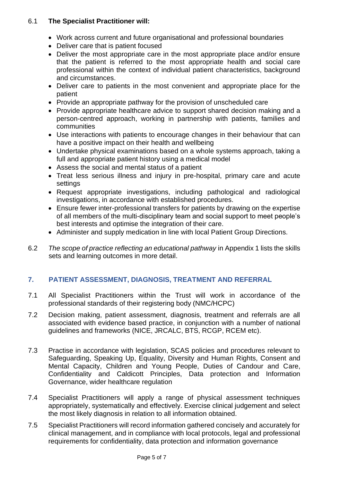## 6.1 **The Specialist Practitioner will:**

- Work across current and future organisational and professional boundaries
- Deliver care that is patient focused
- Deliver the most appropriate care in the most appropriate place and/or ensure that the patient is referred to the most appropriate health and social care professional within the context of individual patient characteristics, background and circumstances.
- Deliver care to patients in the most convenient and appropriate place for the patient
- Provide an appropriate pathway for the provision of unscheduled care
- Provide appropriate healthcare advice to support shared decision making and a person-centred approach, working in partnership with patients, families and communities
- Use interactions with patients to encourage changes in their behaviour that can have a positive impact on their health and wellbeing
- Undertake physical examinations based on a whole systems approach, taking a full and appropriate patient history using a medical model
- Assess the social and mental status of a patient
- Treat less serious illness and injury in pre-hospital, primary care and acute settings
- Request appropriate investigations, including pathological and radiological investigations, in accordance with established procedures.
- Ensure fewer inter-professional transfers for patients by drawing on the expertise of all members of the multi-disciplinary team and social support to meet people's best interests and optimise the integration of their care.
- Administer and supply medication in line with local Patient Group Directions.
- 6.2 *The scope of practice reflecting an educational pathway* in Appendix 1 lists the skills sets and learning outcomes in more detail.

## <span id="page-4-0"></span>**7. PATIENT ASSESSMENT, DIAGNOSIS, TREATMENT AND REFERRAL**

- 7.1 All Specialist Practitioners within the Trust will work in accordance of the professional standards of their registering body (NMC/HCPC)
- 7.2 Decision making, patient assessment, diagnosis, treatment and referrals are all associated with evidence based practice, in conjunction with a number of national guidelines and frameworks (NICE, JRCALC, BTS, RCGP, RCEM etc).
- 7.3 Practise in accordance with legislation, SCAS policies and procedures relevant to Safeguarding, Speaking Up, Equality, Diversity and Human Rights, Consent and Mental Capacity, Children and Young People, Duties of Candour and Care, Confidentiality and Caldicott Principles, Data protection and Information Governance, wider healthcare regulation
- 7.4 Specialist Practitioners will apply a range of physical assessment techniques appropriately, systematically and effectively. Exercise clinical judgement and select the most likely diagnosis in relation to all information obtained.
- 7.5 Specialist Practitioners will record information gathered concisely and accurately for clinical management, and in compliance with local protocols, legal and professional requirements for confidentiality, data protection and information governance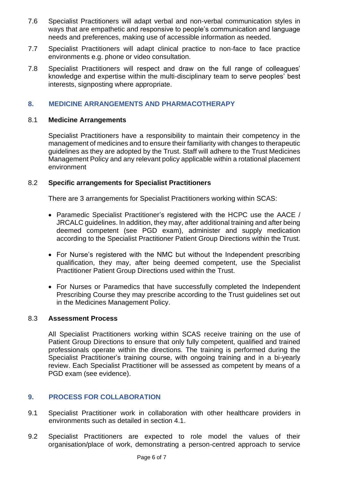- 7.6 Specialist Practitioners will adapt verbal and non-verbal communication styles in ways that are empathetic and responsive to people's communication and language needs and preferences, making use of accessible information as needed.
- 7.7 Specialist Practitioners will adapt clinical practice to non-face to face practice environments e.g. phone or video consultation.
- 7.8 Specialist Practitioners will respect and draw on the full range of colleagues' knowledge and expertise within the multi-disciplinary team to serve peoples' best interests, signposting where appropriate.

## <span id="page-5-0"></span>**8. MEDICINE ARRANGEMENTS AND PHARMACOTHERAPY**

## 8.1 **Medicine Arrangements**

Specialist Practitioners have a responsibility to maintain their competency in the management of medicines and to ensure their familiarity with changes to therapeutic guidelines as they are adopted by the Trust. Staff will adhere to the Trust Medicines Management Policy and any relevant policy applicable within a rotational placement environment

## 8.2 **Specific arrangements for Specialist Practitioners**

There are 3 arrangements for Specialist Practitioners working within SCAS:

- Paramedic Specialist Practitioner's registered with the HCPC use the AACE / JRCALC guidelines. In addition, they may, after additional training and after being deemed competent (see PGD exam), administer and supply medication according to the Specialist Practitioner Patient Group Directions within the Trust.
- For Nurse's registered with the NMC but without the Independent prescribing qualification, they may, after being deemed competent, use the Specialist Practitioner Patient Group Directions used within the Trust.
- For Nurses or Paramedics that have successfully completed the Independent Prescribing Course they may prescribe according to the Trust guidelines set out in the Medicines Management Policy.

## 8.3 **Assessment Process**

All Specialist Practitioners working within SCAS receive training on the use of Patient Group Directions to ensure that only fully competent, qualified and trained professionals operate within the directions. The training is performed during the Specialist Practitioner's training course, with ongoing training and in a bi-yearly review. Each Specialist Practitioner will be assessed as competent by means of a PGD exam (see evidence).

## <span id="page-5-1"></span>**9. PROCESS FOR COLLABORATION**

- 9.1 Specialist Practitioner work in collaboration with other healthcare providers in environments such as detailed in section 4.1.
- 9.2 Specialist Practitioners are expected to role model the values of their organisation/place of work, demonstrating a person-centred approach to service